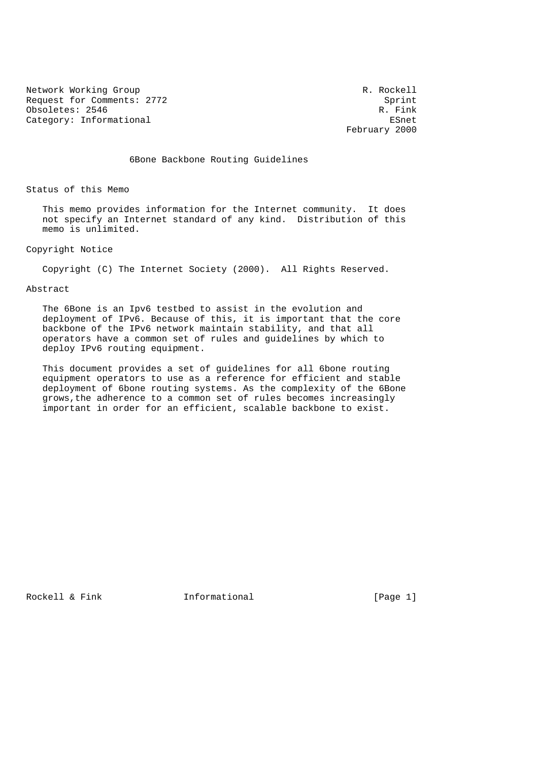Network Working Group and the set of the set of the R. Rockell Request for Comments: 2772 Sprint Obsoletes: 2546 R. Fink Category: Informational example of the example of the ESnet

February 2000

6Bone Backbone Routing Guidelines

Status of this Memo

 This memo provides information for the Internet community. It does not specify an Internet standard of any kind. Distribution of this memo is unlimited.

# Copyright Notice

Copyright (C) The Internet Society (2000). All Rights Reserved.

# Abstract

 The 6Bone is an Ipv6 testbed to assist in the evolution and deployment of IPv6. Because of this, it is important that the core backbone of the IPv6 network maintain stability, and that all operators have a common set of rules and guidelines by which to deploy IPv6 routing equipment.

 This document provides a set of guidelines for all 6bone routing equipment operators to use as a reference for efficient and stable deployment of 6bone routing systems. As the complexity of the 6Bone grows,the adherence to a common set of rules becomes increasingly important in order for an efficient, scalable backbone to exist.

Rockell & Fink **Informational** [Page 1]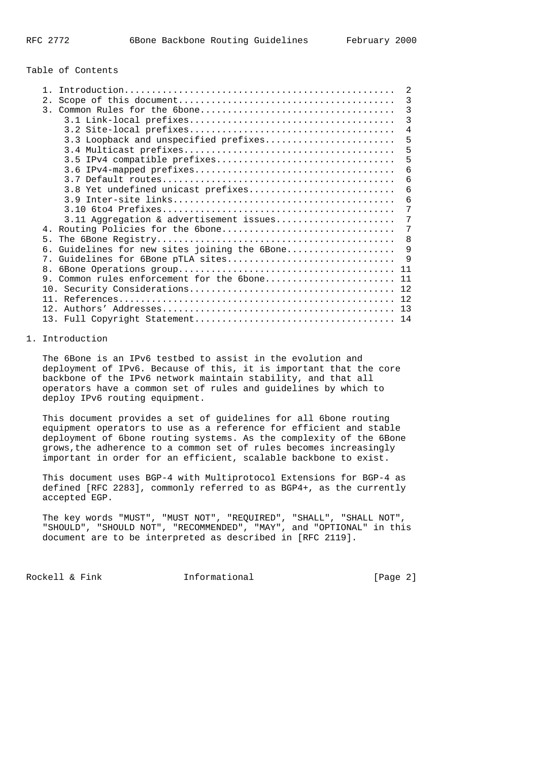# Table of Contents

|                                               | 2  |
|-----------------------------------------------|----|
| 2.1                                           | 3  |
|                                               | 3  |
|                                               | 3  |
|                                               | 4  |
| 3.3 Loopback and unspecified prefixes         | 5  |
|                                               | 5  |
| 3.5 IPv4 compatible prefixes                  | 5  |
|                                               | 6  |
|                                               | 6  |
| 3.8 Yet undefined unicast prefixes            | 6  |
|                                               | 6  |
|                                               | 7  |
| 3.11 Aggregation & advertisement issues       | 7  |
| 4. Routing Policies for the 6bone             | 7  |
| 5.                                            | 8  |
| 6. Guidelines for new sites joining the 6Bone | 9  |
| 7. Guidelines for 6Bone pTLA sites            | 9  |
| 8 <sub>1</sub>                                | 11 |
| Common rules enforcement for the 6bone<br>9   | 11 |
|                                               | 12 |
|                                               | 12 |
|                                               | 13 |
|                                               | 14 |
|                                               |    |

# 1. Introduction

 The 6Bone is an IPv6 testbed to assist in the evolution and deployment of IPv6. Because of this, it is important that the core backbone of the IPv6 network maintain stability, and that all operators have a common set of rules and guidelines by which to deploy IPv6 routing equipment.

 This document provides a set of guidelines for all 6bone routing equipment operators to use as a reference for efficient and stable deployment of 6bone routing systems. As the complexity of the 6Bone grows,the adherence to a common set of rules becomes increasingly important in order for an efficient, scalable backbone to exist.

 This document uses BGP-4 with Multiprotocol Extensions for BGP-4 as defined [RFC 2283], commonly referred to as BGP4+, as the currently accepted EGP.

 The key words "MUST", "MUST NOT", "REQUIRED", "SHALL", "SHALL NOT", "SHOULD", "SHOULD NOT", "RECOMMENDED", "MAY", and "OPTIONAL" in this document are to be interpreted as described in [RFC 2119].

Rockell & Fink **Informational** [Page 2]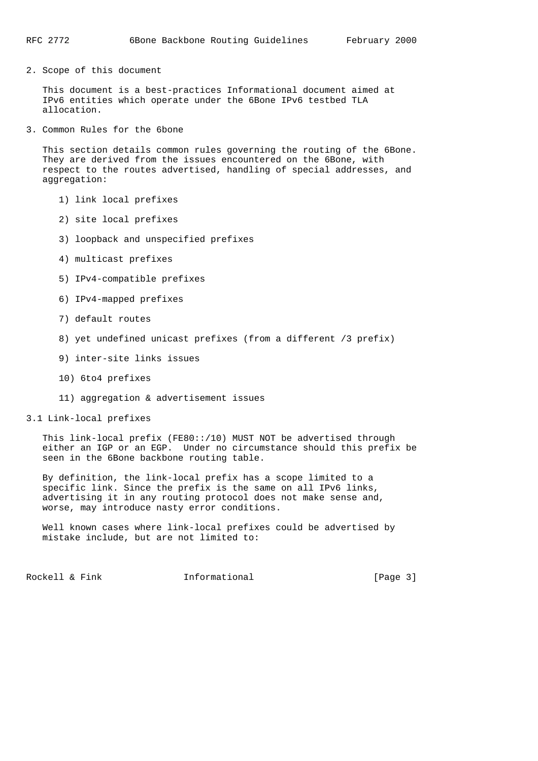2. Scope of this document

 This document is a best-practices Informational document aimed at IPv6 entities which operate under the 6Bone IPv6 testbed TLA allocation.

3. Common Rules for the 6bone

 This section details common rules governing the routing of the 6Bone. They are derived from the issues encountered on the 6Bone, with respect to the routes advertised, handling of special addresses, and aggregation:

- 1) link local prefixes
- 2) site local prefixes
- 3) loopback and unspecified prefixes
- 4) multicast prefixes
- 5) IPv4-compatible prefixes
- 6) IPv4-mapped prefixes
- 7) default routes
- 8) yet undefined unicast prefixes (from a different /3 prefix)
- 9) inter-site links issues
- 10) 6to4 prefixes
- 11) aggregation & advertisement issues
- 3.1 Link-local prefixes

 This link-local prefix (FE80::/10) MUST NOT be advertised through either an IGP or an EGP. Under no circumstance should this prefix be seen in the 6Bone backbone routing table.

 By definition, the link-local prefix has a scope limited to a specific link. Since the prefix is the same on all IPv6 links, advertising it in any routing protocol does not make sense and, worse, may introduce nasty error conditions.

 Well known cases where link-local prefixes could be advertised by mistake include, but are not limited to:

Rockell & Fink **Informational** [Page 3]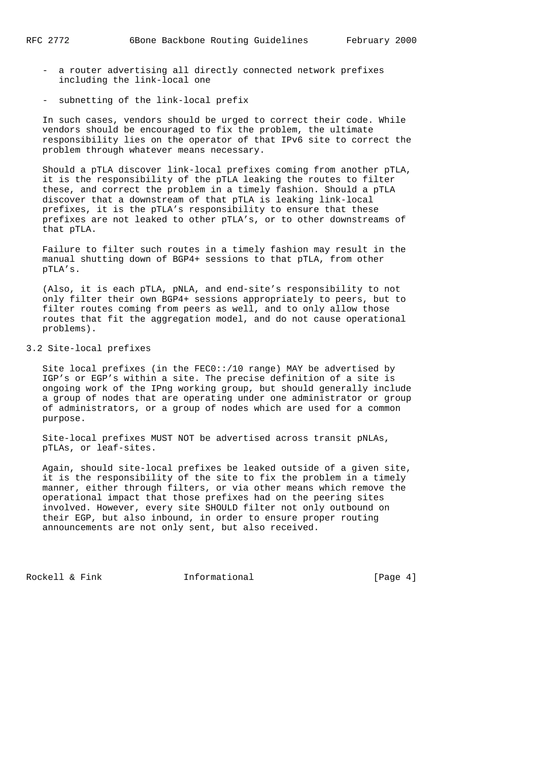- a router advertising all directly connected network prefixes including the link-local one
- subnetting of the link-local prefix

 In such cases, vendors should be urged to correct their code. While vendors should be encouraged to fix the problem, the ultimate responsibility lies on the operator of that IPv6 site to correct the problem through whatever means necessary.

 Should a pTLA discover link-local prefixes coming from another pTLA, it is the responsibility of the pTLA leaking the routes to filter these, and correct the problem in a timely fashion. Should a pTLA discover that a downstream of that pTLA is leaking link-local prefixes, it is the pTLA's responsibility to ensure that these prefixes are not leaked to other pTLA's, or to other downstreams of that pTLA.

 Failure to filter such routes in a timely fashion may result in the manual shutting down of BGP4+ sessions to that pTLA, from other pTLA's.

 (Also, it is each pTLA, pNLA, and end-site's responsibility to not only filter their own BGP4+ sessions appropriately to peers, but to filter routes coming from peers as well, and to only allow those routes that fit the aggregation model, and do not cause operational problems).

# 3.2 Site-local prefixes

 Site local prefixes (in the FEC0::/10 range) MAY be advertised by IGP's or EGP's within a site. The precise definition of a site is ongoing work of the IPng working group, but should generally include a group of nodes that are operating under one administrator or group of administrators, or a group of nodes which are used for a common purpose.

 Site-local prefixes MUST NOT be advertised across transit pNLAs, pTLAs, or leaf-sites.

 Again, should site-local prefixes be leaked outside of a given site, it is the responsibility of the site to fix the problem in a timely manner, either through filters, or via other means which remove the operational impact that those prefixes had on the peering sites involved. However, every site SHOULD filter not only outbound on their EGP, but also inbound, in order to ensure proper routing announcements are not only sent, but also received.

Rockell & Fink **Informational** [Page 4]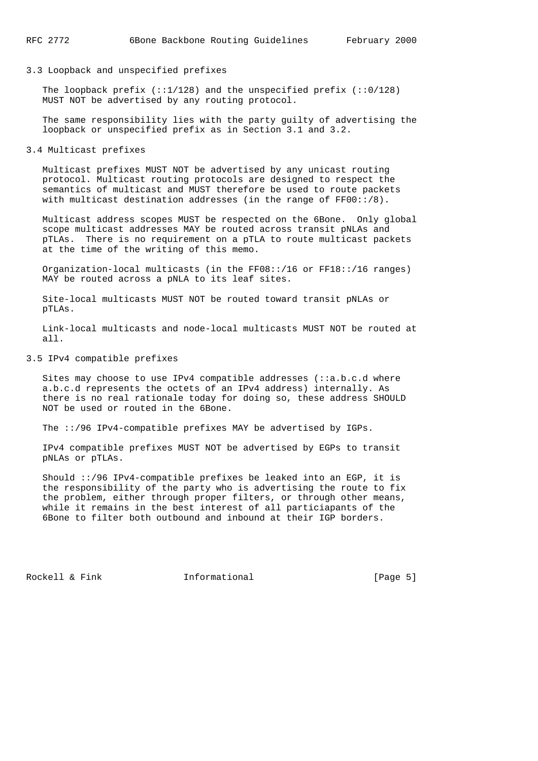### 3.3 Loopback and unspecified prefixes

The loopback prefix  $(::1/128)$  and the unspecified prefix  $(::0/128)$ MUST NOT be advertised by any routing protocol.

 The same responsibility lies with the party guilty of advertising the loopback or unspecified prefix as in Section 3.1 and 3.2.

3.4 Multicast prefixes

 Multicast prefixes MUST NOT be advertised by any unicast routing protocol. Multicast routing protocols are designed to respect the semantics of multicast and MUST therefore be used to route packets with multicast destination addresses (in the range of  $FF00::/8$ ).

 Multicast address scopes MUST be respected on the 6Bone. Only global scope multicast addresses MAY be routed across transit pNLAs and pTLAs. There is no requirement on a pTLA to route multicast packets at the time of the writing of this memo.

 Organization-local multicasts (in the FF08::/16 or FF18::/16 ranges) MAY be routed across a pNLA to its leaf sites.

 Site-local multicasts MUST NOT be routed toward transit pNLAs or pTLAs.

 Link-local multicasts and node-local multicasts MUST NOT be routed at all.

### 3.5 IPv4 compatible prefixes

Sites may choose to use IPv4 compatible addresses  $(:a.b.c.d$  where a.b.c.d represents the octets of an IPv4 address) internally. As there is no real rationale today for doing so, these address SHOULD NOT be used or routed in the 6Bone.

The ::/96 IPv4-compatible prefixes MAY be advertised by IGPs.

 IPv4 compatible prefixes MUST NOT be advertised by EGPs to transit pNLAs or pTLAs.

 Should ::/96 IPv4-compatible prefixes be leaked into an EGP, it is the responsibility of the party who is advertising the route to fix the problem, either through proper filters, or through other means, while it remains in the best interest of all particiapants of the 6Bone to filter both outbound and inbound at their IGP borders.

Rockell & Fink **Informational** [Page 5]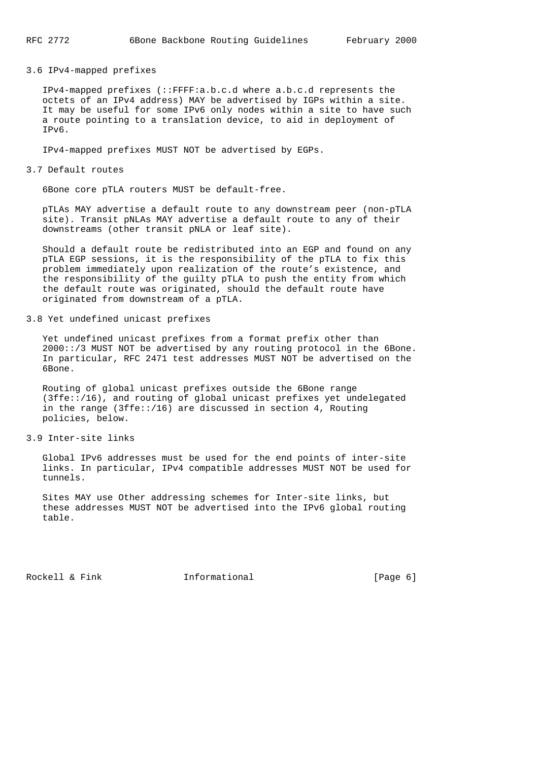# 3.6 IPv4-mapped prefixes

 IPv4-mapped prefixes (::FFFF:a.b.c.d where a.b.c.d represents the octets of an IPv4 address) MAY be advertised by IGPs within a site. It may be useful for some IPv6 only nodes within a site to have such a route pointing to a translation device, to aid in deployment of IPv6.

IPv4-mapped prefixes MUST NOT be advertised by EGPs.

#### 3.7 Default routes

6Bone core pTLA routers MUST be default-free.

 pTLAs MAY advertise a default route to any downstream peer (non-pTLA site). Transit pNLAs MAY advertise a default route to any of their downstreams (other transit pNLA or leaf site).

 Should a default route be redistributed into an EGP and found on any pTLA EGP sessions, it is the responsibility of the pTLA to fix this problem immediately upon realization of the route's existence, and the responsibility of the guilty pTLA to push the entity from which the default route was originated, should the default route have originated from downstream of a pTLA.

#### 3.8 Yet undefined unicast prefixes

 Yet undefined unicast prefixes from a format prefix other than 2000::/3 MUST NOT be advertised by any routing protocol in the 6Bone. In particular, RFC 2471 test addresses MUST NOT be advertised on the 6Bone.

 Routing of global unicast prefixes outside the 6Bone range (3ffe::/16), and routing of global unicast prefixes yet undelegated in the range (3ffe::/16) are discussed in section 4, Routing policies, below.

### 3.9 Inter-site links

 Global IPv6 addresses must be used for the end points of inter-site links. In particular, IPv4 compatible addresses MUST NOT be used for tunnels.

 Sites MAY use Other addressing schemes for Inter-site links, but these addresses MUST NOT be advertised into the IPv6 global routing table.

Rockell & Fink **Informational** [Page 6]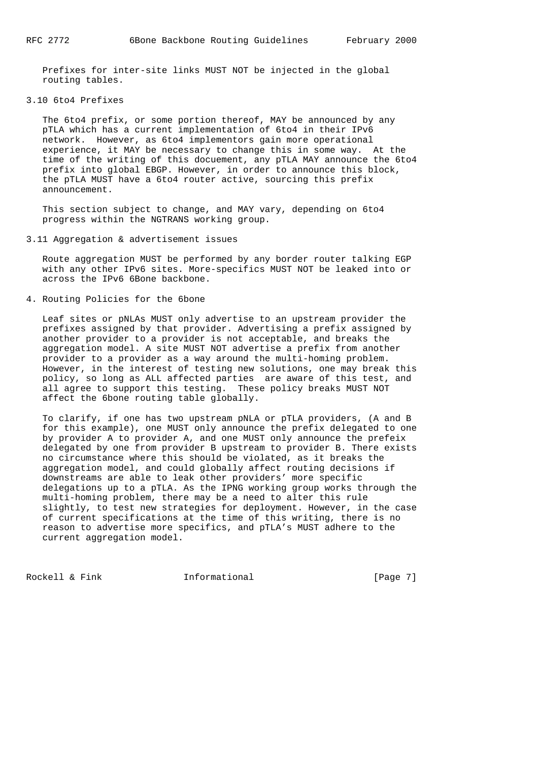Prefixes for inter-site links MUST NOT be injected in the global routing tables.

### 3.10 6to4 Prefixes

 The 6to4 prefix, or some portion thereof, MAY be announced by any pTLA which has a current implementation of 6to4 in their IPv6 network. However, as 6to4 implementors gain more operational experience, it MAY be necessary to change this in some way. At the time of the writing of this docuement, any pTLA MAY announce the 6to4 prefix into global EBGP. However, in order to announce this block, the pTLA MUST have a 6to4 router active, sourcing this prefix announcement.

 This section subject to change, and MAY vary, depending on 6to4 progress within the NGTRANS working group.

3.11 Aggregation & advertisement issues

 Route aggregation MUST be performed by any border router talking EGP with any other IPv6 sites. More-specifics MUST NOT be leaked into or across the IPv6 6Bone backbone.

4. Routing Policies for the 6bone

 Leaf sites or pNLAs MUST only advertise to an upstream provider the prefixes assigned by that provider. Advertising a prefix assigned by another provider to a provider is not acceptable, and breaks the aggregation model. A site MUST NOT advertise a prefix from another provider to a provider as a way around the multi-homing problem. However, in the interest of testing new solutions, one may break this policy, so long as ALL affected parties are aware of this test, and all agree to support this testing. These policy breaks MUST NOT affect the 6bone routing table globally.

 To clarify, if one has two upstream pNLA or pTLA providers, (A and B for this example), one MUST only announce the prefix delegated to one by provider A to provider A, and one MUST only announce the prefeix delegated by one from provider B upstream to provider B. There exists no circumstance where this should be violated, as it breaks the aggregation model, and could globally affect routing decisions if downstreams are able to leak other providers' more specific delegations up to a pTLA. As the IPNG working group works through the multi-homing problem, there may be a need to alter this rule slightly, to test new strategies for deployment. However, in the case of current specifications at the time of this writing, there is no reason to advertise more specifics, and pTLA's MUST adhere to the current aggregation model.

Rockell & Fink **Informational** [Page 7]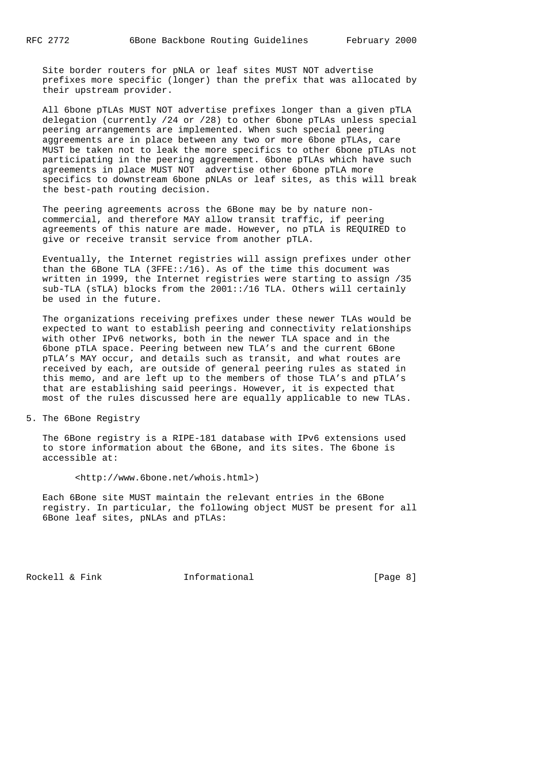Site border routers for pNLA or leaf sites MUST NOT advertise prefixes more specific (longer) than the prefix that was allocated by their upstream provider.

 All 6bone pTLAs MUST NOT advertise prefixes longer than a given pTLA delegation (currently /24 or /28) to other 6bone pTLAs unless special peering arrangements are implemented. When such special peering aggreements are in place between any two or more 6bone pTLAs, care MUST be taken not to leak the more specifics to other 6bone pTLAs not participating in the peering aggreement. 6bone pTLAs which have such agreements in place MUST NOT advertise other 6bone pTLA more specifics to downstream 6bone pNLAs or leaf sites, as this will break the best-path routing decision.

 The peering agreements across the 6Bone may be by nature non commercial, and therefore MAY allow transit traffic, if peering agreements of this nature are made. However, no pTLA is REQUIRED to give or receive transit service from another pTLA.

 Eventually, the Internet registries will assign prefixes under other than the 6Bone TLA (3FFE::/16). As of the time this document was written in 1999, the Internet registries were starting to assign /35 sub-TLA (sTLA) blocks from the 2001::/16 TLA. Others will certainly be used in the future.

 The organizations receiving prefixes under these newer TLAs would be expected to want to establish peering and connectivity relationships with other IPv6 networks, both in the newer TLA space and in the 6bone pTLA space. Peering between new TLA's and the current 6Bone pTLA's MAY occur, and details such as transit, and what routes are received by each, are outside of general peering rules as stated in this memo, and are left up to the members of those TLA's and pTLA's that are establishing said peerings. However, it is expected that most of the rules discussed here are equally applicable to new TLAs.

5. The 6Bone Registry

 The 6Bone registry is a RIPE-181 database with IPv6 extensions used to store information about the 6Bone, and its sites. The 6bone is accessible at:

<http://www.6bone.net/whois.html>)

 Each 6Bone site MUST maintain the relevant entries in the 6Bone registry. In particular, the following object MUST be present for all 6Bone leaf sites, pNLAs and pTLAs:

Rockell & Fink **Informational** [Page 8]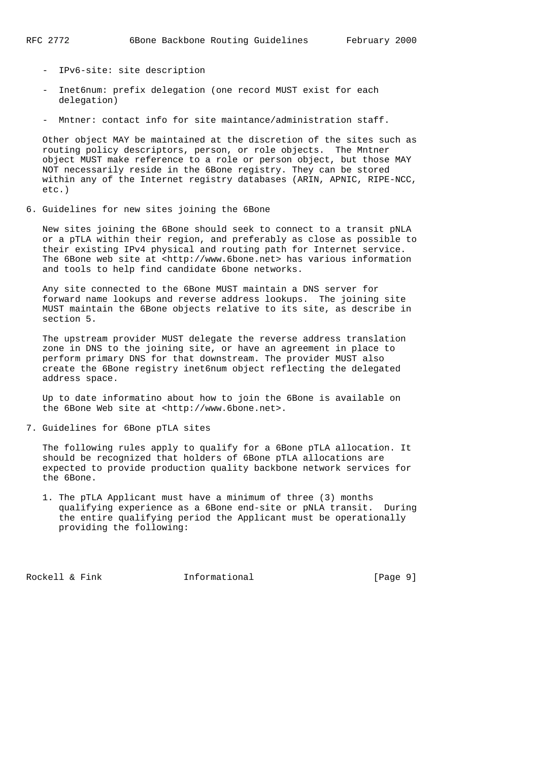- IPv6-site: site description
- Inet6num: prefix delegation (one record MUST exist for each delegation)
- Mntner: contact info for site maintance/administration staff.

 Other object MAY be maintained at the discretion of the sites such as routing policy descriptors, person, or role objects. The Mntner object MUST make reference to a role or person object, but those MAY NOT necessarily reside in the 6Bone registry. They can be stored within any of the Internet registry databases (ARIN, APNIC, RIPE-NCC, etc.)

6. Guidelines for new sites joining the 6Bone

 New sites joining the 6Bone should seek to connect to a transit pNLA or a pTLA within their region, and preferably as close as possible to their existing IPv4 physical and routing path for Internet service. The 6Bone web site at <http://www.6bone.net> has various information and tools to help find candidate 6bone networks.

 Any site connected to the 6Bone MUST maintain a DNS server for forward name lookups and reverse address lookups. The joining site MUST maintain the 6Bone objects relative to its site, as describe in section 5.

 The upstream provider MUST delegate the reverse address translation zone in DNS to the joining site, or have an agreement in place to perform primary DNS for that downstream. The provider MUST also create the 6Bone registry inet6num object reflecting the delegated address space.

 Up to date informatino about how to join the 6Bone is available on the 6Bone Web site at <http://www.6bone.net>.

7. Guidelines for 6Bone pTLA sites

 The following rules apply to qualify for a 6Bone pTLA allocation. It should be recognized that holders of 6Bone pTLA allocations are expected to provide production quality backbone network services for the 6Bone.

 1. The pTLA Applicant must have a minimum of three (3) months qualifying experience as a 6Bone end-site or pNLA transit. During the entire qualifying period the Applicant must be operationally providing the following:

Rockell & Fink **Informational** [Page 9]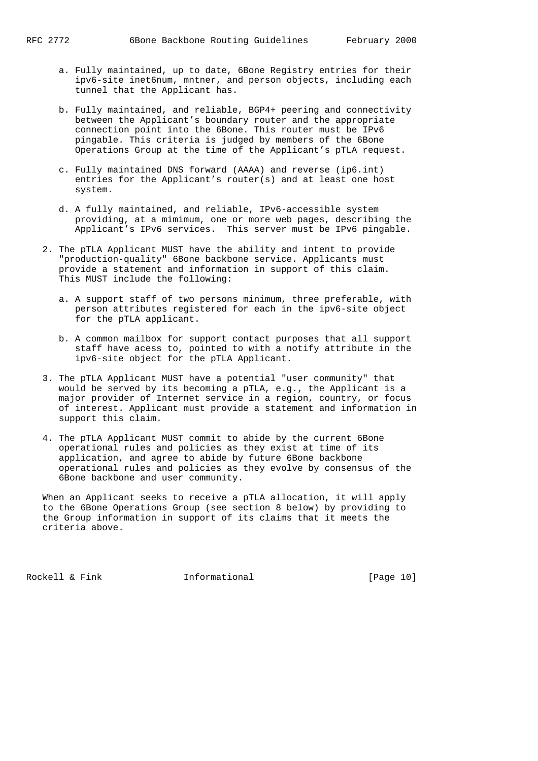- a. Fully maintained, up to date, 6Bone Registry entries for their ipv6-site inet6num, mntner, and person objects, including each tunnel that the Applicant has.
- b. Fully maintained, and reliable, BGP4+ peering and connectivity between the Applicant's boundary router and the appropriate connection point into the 6Bone. This router must be IPv6 pingable. This criteria is judged by members of the 6Bone Operations Group at the time of the Applicant's pTLA request.
- c. Fully maintained DNS forward (AAAA) and reverse (ip6.int) entries for the Applicant's router(s) and at least one host system.
- d. A fully maintained, and reliable, IPv6-accessible system providing, at a mimimum, one or more web pages, describing the Applicant's IPv6 services. This server must be IPv6 pingable.
- 2. The pTLA Applicant MUST have the ability and intent to provide "production-quality" 6Bone backbone service. Applicants must provide a statement and information in support of this claim. This MUST include the following:
	- a. A support staff of two persons minimum, three preferable, with person attributes registered for each in the ipv6-site object for the pTLA applicant.
	- b. A common mailbox for support contact purposes that all support staff have acess to, pointed to with a notify attribute in the ipv6-site object for the pTLA Applicant.
- 3. The pTLA Applicant MUST have a potential "user community" that would be served by its becoming a pTLA, e.g., the Applicant is a major provider of Internet service in a region, country, or focus of interest. Applicant must provide a statement and information in support this claim.
- 4. The pTLA Applicant MUST commit to abide by the current 6Bone operational rules and policies as they exist at time of its application, and agree to abide by future 6Bone backbone operational rules and policies as they evolve by consensus of the 6Bone backbone and user community.

 When an Applicant seeks to receive a pTLA allocation, it will apply to the 6Bone Operations Group (see section 8 below) by providing to the Group information in support of its claims that it meets the criteria above.

Rockell & Fink **Informational** [Page 10]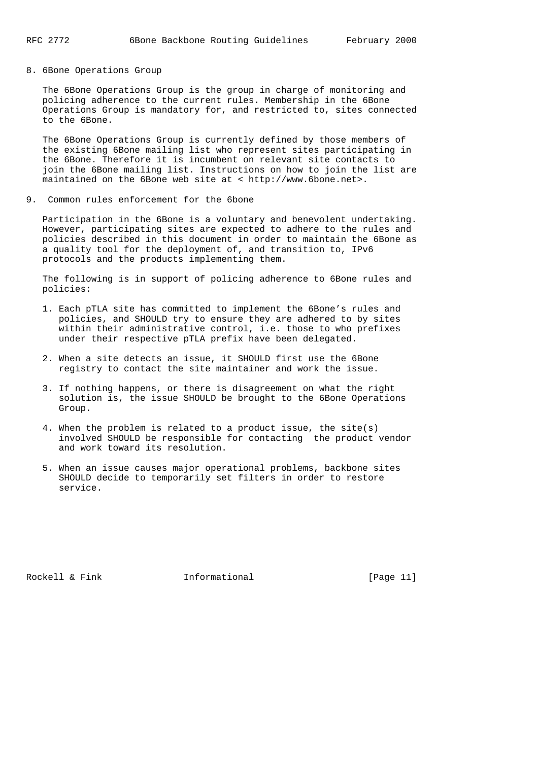8. 6Bone Operations Group

 The 6Bone Operations Group is the group in charge of monitoring and policing adherence to the current rules. Membership in the 6Bone Operations Group is mandatory for, and restricted to, sites connected to the 6Bone.

 The 6Bone Operations Group is currently defined by those members of the existing 6Bone mailing list who represent sites participating in the 6Bone. Therefore it is incumbent on relevant site contacts to join the 6Bone mailing list. Instructions on how to join the list are maintained on the 6Bone web site at < http://www.6bone.net>.

9. Common rules enforcement for the 6bone

 Participation in the 6Bone is a voluntary and benevolent undertaking. However, participating sites are expected to adhere to the rules and policies described in this document in order to maintain the 6Bone as a quality tool for the deployment of, and transition to, IPv6 protocols and the products implementing them.

 The following is in support of policing adherence to 6Bone rules and policies:

- 1. Each pTLA site has committed to implement the 6Bone's rules and policies, and SHOULD try to ensure they are adhered to by sites within their administrative control, i.e. those to who prefixes under their respective pTLA prefix have been delegated.
- 2. When a site detects an issue, it SHOULD first use the 6Bone registry to contact the site maintainer and work the issue.
- 3. If nothing happens, or there is disagreement on what the right solution is, the issue SHOULD be brought to the 6Bone Operations Group.
- 4. When the problem is related to a product issue, the site(s) involved SHOULD be responsible for contacting the product vendor and work toward its resolution.
- 5. When an issue causes major operational problems, backbone sites SHOULD decide to temporarily set filters in order to restore service.

Rockell & Fink **Informational** [Page 11]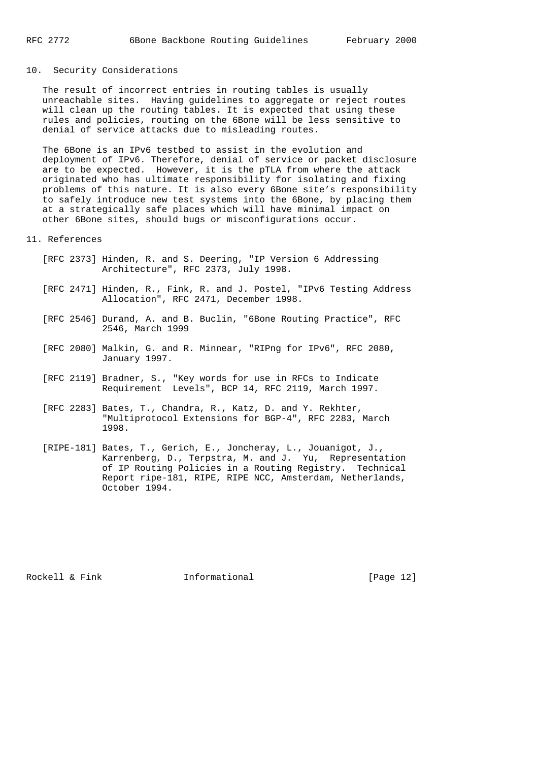# 10. Security Considerations

 The result of incorrect entries in routing tables is usually unreachable sites. Having guidelines to aggregate or reject routes will clean up the routing tables. It is expected that using these rules and policies, routing on the 6Bone will be less sensitive to denial of service attacks due to misleading routes.

 The 6Bone is an IPv6 testbed to assist in the evolution and deployment of IPv6. Therefore, denial of service or packet disclosure are to be expected. However, it is the pTLA from where the attack originated who has ultimate responsibility for isolating and fixing problems of this nature. It is also every 6Bone site's responsibility to safely introduce new test systems into the 6Bone, by placing them at a strategically safe places which will have minimal impact on other 6Bone sites, should bugs or misconfigurations occur.

#### 11. References

- [RFC 2373] Hinden, R. and S. Deering, "IP Version 6 Addressing Architecture", RFC 2373, July 1998.
- [RFC 2471] Hinden, R., Fink, R. and J. Postel, "IPv6 Testing Address Allocation", RFC 2471, December 1998.
	- [RFC 2546] Durand, A. and B. Buclin, "6Bone Routing Practice", RFC 2546, March 1999
	- [RFC 2080] Malkin, G. and R. Minnear, "RIPng for IPv6", RFC 2080, January 1997.
	- [RFC 2119] Bradner, S., "Key words for use in RFCs to Indicate Requirement Levels", BCP 14, RFC 2119, March 1997.
	- [RFC 2283] Bates, T., Chandra, R., Katz, D. and Y. Rekhter, "Multiprotocol Extensions for BGP-4", RFC 2283, March 1998.
	- [RIPE-181] Bates, T., Gerich, E., Joncheray, L., Jouanigot, J., Karrenberg, D., Terpstra, M. and J. Yu, Representation of IP Routing Policies in a Routing Registry. Technical Report ripe-181, RIPE, RIPE NCC, Amsterdam, Netherlands, October 1994.

Rockell & Fink **Informational** [Page 12]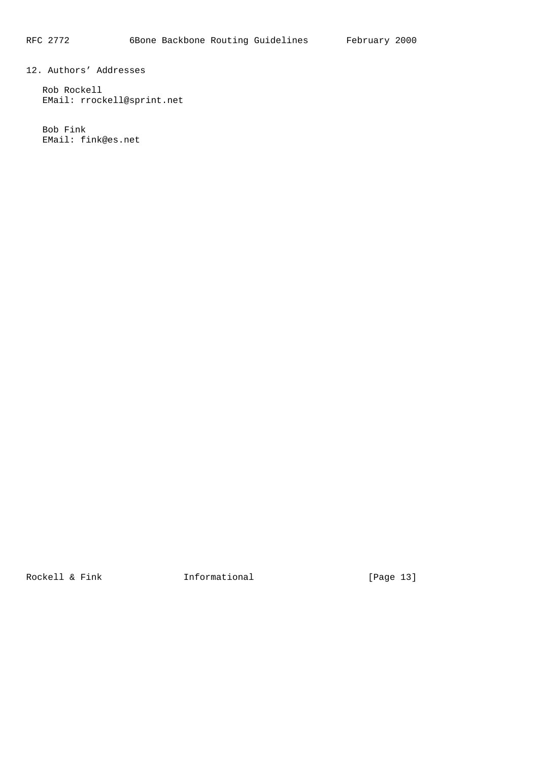12. Authors' Addresses

 Rob Rockell EMail: rrockell@sprint.net

 Bob Fink EMail: fink@es.net

Rockell & Fink **Informational** [Page 13]